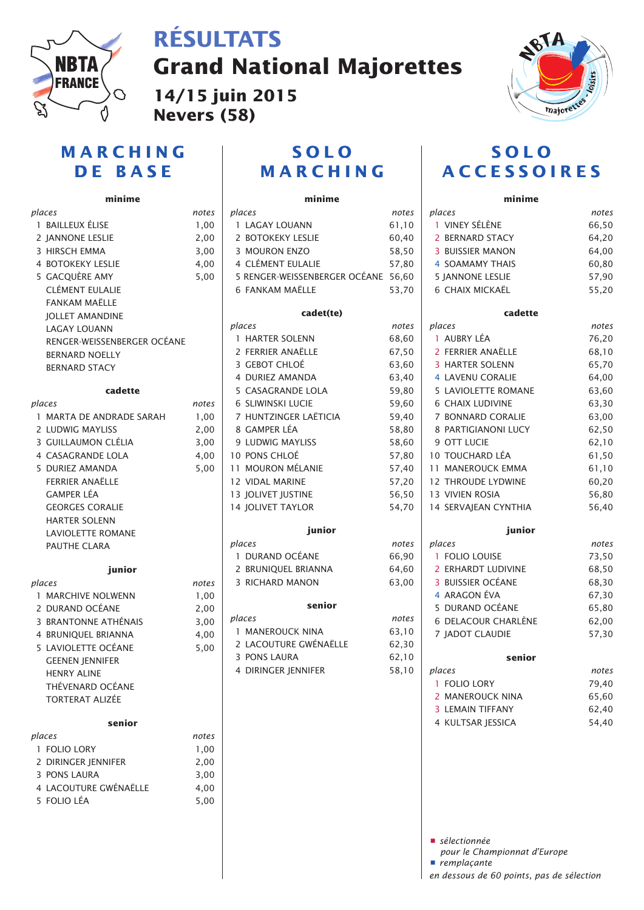

## **RÉSULTATS**

**Grand National Majorettes**

**14/15 juin 2015 Nevers (58)**



### **MARCHING DE BASE**

### **minime**

| places                      | notes |
|-----------------------------|-------|
| 1 BAILLEUX ÉLISE            | 1,00  |
| 2 IANNONE LESLIE            | 2,00  |
| 3 HIRSCH EMMA               | 3,00  |
| <b>4 BOTOKEKY LESLIE</b>    | 4,00  |
| 5 GACQUÈRE AMY              | 5,00  |
| <b>CLÉMENT EULALIE</b>      |       |
| <b>FANKAM MAËLLE</b>        |       |
| <b>JOLLET AMANDINE</b>      |       |
| <b>LAGAY LOUANN</b>         |       |
| RENGER-WEISSENBERGER OCÉANE |       |
| <b>BERNARD NOELLY</b>       |       |
| <b>BERNARD STACY</b>        |       |
|                             |       |
| cadette                     |       |
| places                      | notes |
| 1 MARTA DE ANDRADE SARAH    | 1,00  |
| 2 LUDWIG MAYLISS            | 2,00  |
| 3 GUILLAUMON CLÉLIA         | 3,00  |
| <b>4 CASAGRANDE LOLA</b>    | 4,00  |
| 5 DURIEZ AMANDA             | 5,00  |
| FERRIER ANAËLLE             |       |
| <b>GAMPER LÉA</b>           |       |
| <b>GEORGES CORALIE</b>      |       |
| <b>HARTER SOLENN</b>        |       |
| <b>LAVIOLETTE ROMANE</b>    |       |
| <b>PAUTHE CLARA</b>         |       |
|                             |       |
| junior                      |       |
| places                      | notes |
| 1 MARCHIVE NOLWENN          | 1,00  |
| 2 DURAND OCÉANE             | 2,00  |
| 3 BRANTONNE ATHÉNAIS        | 3,00  |
| 4 BRUNIQUEL BRIANNA         | 4,00  |
| 5 LAVIOLETTE OCÉANE         | 5,00  |
| <b>GEENEN IENNIFER</b>      |       |
| <b>HENRY ALINE</b>          |       |
| THÉVENARD OCÉANE            |       |
| TORTERAT ALIZÉE             |       |
| senior                      |       |
| places                      | notes |
| 1 FOLIO LORY                | 1,00  |
| 2 DIRINGER JENNIFER         | 2,00  |
| 3 PONS LAURA                | 3,00  |
| 4 LACOUTURE GWÉNAËLLE       | 4,00  |
| 5 FOLIO LÉA                 | 5,00  |
|                             |       |

### **SOLO MARCHING**

#### **minime**

| places<br>notes |                                     |       |
|-----------------|-------------------------------------|-------|
|                 | 1 LAGAY LOUANN                      | 61,10 |
|                 | 2 BOTOKEKY LESLIE                   | 60,40 |
|                 | 3 MOURON ENZO                       | 58,50 |
|                 | 4 CLÉMENT EULALIE                   | 57,80 |
|                 | 5 RENGER-WEISSENBERGER OCÉANE 56,60 |       |
|                 | 6 FANKAM MAËLLE                     | 53,70 |
|                 | cadet(te)                           |       |
|                 | places                              | notes |
|                 | 1 HARTER SOLENN                     | 68,60 |
|                 | 2 FERRIER ANAËLLE                   | 67,50 |
|                 | 3 GEBOT CHLOÉ                       | 63,60 |
|                 | 4 DURIEZ AMANDA                     | 63,40 |
|                 | 5 CASAGRANDE LOLA                   | 59,80 |
|                 | 6 SLIWINSKI LUCIE                   | 59,60 |
|                 | 7 HUNTZINGER LAËTICIA               | 59,40 |
|                 | 8 GAMPER LÉA                        | 58,80 |
|                 | 9 LUDWIG MAYLISS                    | 58,60 |
|                 | 10 PONS CHLOÉ                       | 57,80 |
|                 | 11 MOURON MÉLANIE                   | 57,40 |
|                 | 12 VIDAL MARINE                     | 57,20 |
|                 | 13 JOLIVET JUSTINE                  | 56,50 |
|                 | <b>14 JOLIVET TAYLOR</b>            | 54,70 |
|                 | junior                              |       |
|                 | places                              | notes |
|                 | 1 DURAND OCÉANE                     | 66,90 |
|                 | 2 BRUNIQUEL BRIANNA                 | 64,60 |
|                 | 3 RICHARD MANON                     | 63,00 |
|                 | senior                              |       |
|                 | places                              | notes |
|                 | 1 MANEROUCK NINA                    | 63,10 |
|                 | 2 LACOUTURE GWÉNAËLLE               | 62,30 |
|                 | 3 PONS LAURA                        | 62,10 |
|                 | 4 DIRINGER JENNIFER                 | 58,10 |
|                 |                                     |       |
|                 |                                     |       |
|                 |                                     |       |
|                 |                                     |       |
|                 |                                     |       |

### **SOLO ACCESSOIRES**

| minime                     |       |
|----------------------------|-------|
| places                     | notes |
| 1 VINEY SÉLÈNE             | 66,50 |
| 2 BERNARD STACY            | 64,20 |
| <b>3 BUISSIER MANON</b>    | 64,00 |
| <b>4 SOAMAMY THAIS</b>     | 60,80 |
| <b>5 JANNONE LESLIE</b>    | 57,90 |
| 6 CHAIX MICKAËL            | 55,20 |
| cadette                    |       |
| places                     | notes |
| 1 AUBRY LÉA                | 76,20 |
| 2 FERRIER ANAËLLE          | 68,10 |
| <b>3 HARTER SOLENN</b>     | 65,70 |
| 4 LAVENU CORALIE           | 64,00 |
| <b>5 LAVIOLETTE ROMANE</b> | 63,60 |
| <b>6 CHAIX LUDIVINE</b>    | 63,30 |
| <b>7 BONNARD CORALIE</b>   | 63,00 |
| 8 PARTIGIANONI LUCY        | 62,50 |
| 9 OTT LUCIE                | 62,10 |
| 10 TOUCHARD LÉA            | 61,50 |
| <b>11 MANEROUCK EMMA</b>   | 61,10 |
| <b>12 THROUDE LYDWINE</b>  | 60,20 |
| <b>13 VIVIEN ROSIA</b>     | 56,80 |
| 14 SERVAJEAN CYNTHIA       | 56,40 |
| junior                     |       |
| places                     | notes |
| 1 FOLIO LOUISE             | 73,50 |
| 2 ERHARDT LUDIVINE         | 68,50 |
| 3 BUISSIER OCÉANE          | 68,30 |
| 4 ARAGON ÉVA               | 67,30 |
| 5 DURAND OCÉANE            | 65,80 |
| 6 DELACOUR CHARLÈNE        | 62,00 |
| 7 JADOT CLAUDIE            | 57,30 |
| senior                     |       |
| places                     | notes |
| 1 FOLIO LORY               | 79,40 |
| 2 MANEROUCK NINA           | 65,60 |
| <b>3 LEMAIN TIFFANY</b>    | 62,40 |
| 4 KULTSAR JESSICA          | 54,40 |

**•** *sélectionnée*

*pour le Championnat d'Europe*

**•** *remplaçante*

*en dessous de 60 points, pas de sélection*